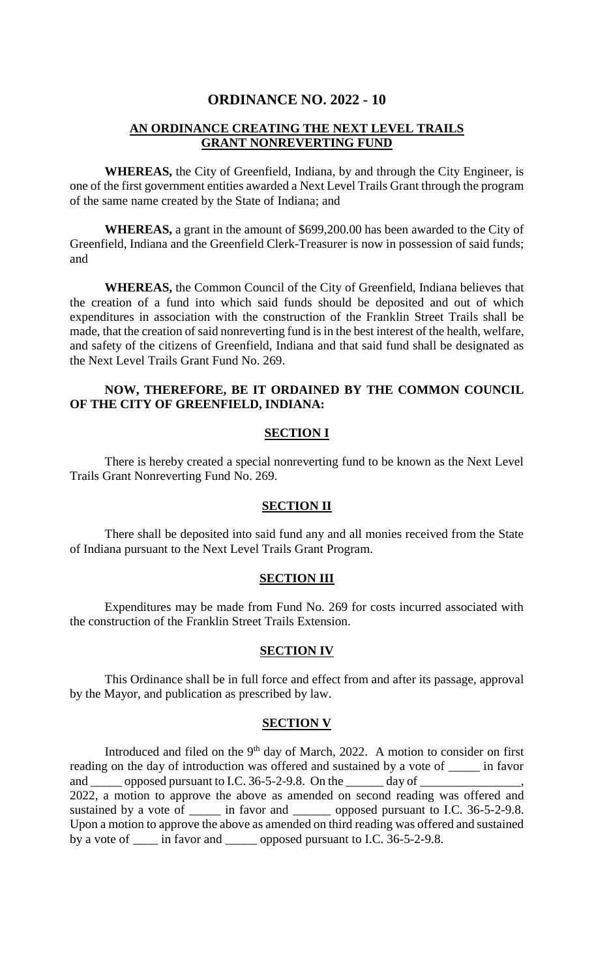# **ORDINANCE NO. 2022 - 10**

# **AN ORDINANCE CREATING THE NEXT LEVEL TRAILS GRANT NONREVERTING FUND**

**WHEREAS,** the City of Greenfield, Indiana, by and through the City Engineer, is one of the first government entities awarded a Next Level Trails Grant through the program of the same name created by the State of Indiana; and

**WHEREAS,** a grant in the amount of \$699,200.00 has been awarded to the City of Greenfield, Indiana and the Greenfield Clerk-Treasurer is now in possession of said funds; and

**WHEREAS,** the Common Council of the City of Greenfield, Indiana believes that the creation of a fund into which said funds should be deposited and out of which expenditures in association with the construction of the Franklin Street Trails shall be made, that the creation of said nonreverting fund is in the best interest of the health, welfare, and safety of the citizens of Greenfield, Indiana and that said fund shall be designated as the Next Level Trails Grant Fund No. 269.

# **NOW, THEREFORE, BE IT ORDAINED BY THE COMMON COUNCIL OF THE CITY OF GREENFIELD, INDIANA:**

### **SECTION I**

There is hereby created a special nonreverting fund to be known as the Next Level Trails Grant Nonreverting Fund No. 269.

## **SECTION II**

There shall be deposited into said fund any and all monies received from the State of Indiana pursuant to the Next Level Trails Grant Program.

#### **SECTION III**

Expenditures may be made from Fund No. 269 for costs incurred associated with the construction of the Franklin Street Trails Extension.

#### **SECTION IV**

This Ordinance shall be in full force and effect from and after its passage, approval by the Mayor, and publication as prescribed by law.

#### **SECTION V**

Introduced and filed on the  $9<sup>th</sup>$  day of March, 2022. A motion to consider on first reading on the day of introduction was offered and sustained by a vote of \_\_\_\_\_ in favor and \_\_\_\_\_ opposed pursuant to I.C. 36-5-2-9.8. On the \_\_\_\_\_\_ day of \_\_\_\_\_\_\_\_\_\_\_\_\_\_\_\_, 2022, a motion to approve the above as amended on second reading was offered and sustained by a vote of \_\_\_\_\_ in favor and \_\_\_\_\_\_ opposed pursuant to I.C. 36-5-2-9.8. Upon a motion to approve the above as amended on third reading was offered and sustained by a vote of <u>equal</u> in favor and <u>equal</u> opposed pursuant to I.C. 36-5-2-9.8.